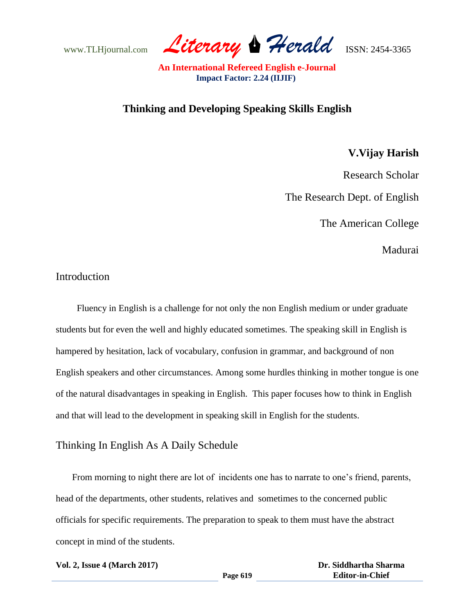www.TLHjournal.com *Literary Herald*ISSN: 2454-3365

## **Thinking and Developing Speaking Skills English**

## **V.Vijay Harish**

Research Scholar

The Research Dept. of English

The American College

Madurai

### Introduction

 Fluency in English is a challenge for not only the non English medium or under graduate students but for even the well and highly educated sometimes. The speaking skill in English is hampered by hesitation, lack of vocabulary, confusion in grammar, and background of non English speakers and other circumstances. Among some hurdles thinking in mother tongue is one of the natural disadvantages in speaking in English. This paper focuses how to think in English and that will lead to the development in speaking skill in English for the students.

### Thinking In English As A Daily Schedule

 From morning to night there are lot of incidents one has to narrate to one's friend, parents, head of the departments, other students, relatives and sometimes to the concerned public officials for specific requirements. The preparation to speak to them must have the abstract concept in mind of the students.

**Vol. 2, Issue 4 (March 2017)**

 **Dr. Siddhartha Sharma Editor-in-Chief**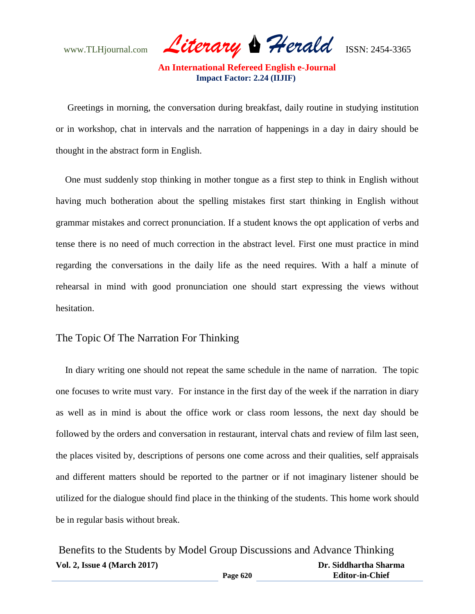www.TLHjournal.com *Literary Herald*ISSN: 2454-3365

 Greetings in morning, the conversation during breakfast, daily routine in studying institution or in workshop, chat in intervals and the narration of happenings in a day in dairy should be thought in the abstract form in English.

 One must suddenly stop thinking in mother tongue as a first step to think in English without having much botheration about the spelling mistakes first start thinking in English without grammar mistakes and correct pronunciation. If a student knows the opt application of verbs and tense there is no need of much correction in the abstract level. First one must practice in mind regarding the conversations in the daily life as the need requires. With a half a minute of rehearsal in mind with good pronunciation one should start expressing the views without hesitation.

## The Topic Of The Narration For Thinking

 In diary writing one should not repeat the same schedule in the name of narration. The topic one focuses to write must vary. For instance in the first day of the week if the narration in diary as well as in mind is about the office work or class room lessons, the next day should be followed by the orders and conversation in restaurant, interval chats and review of film last seen, the places visited by, descriptions of persons one come across and their qualities, self appraisals and different matters should be reported to the partner or if not imaginary listener should be utilized for the dialogue should find place in the thinking of the students. This home work should be in regular basis without break.

| Benefits to the Students by Model Group Discussions and Advance Thinking |          |                        |
|--------------------------------------------------------------------------|----------|------------------------|
| <b>Vol. 2, Issue 4 (March 2017)</b>                                      |          | Dr. Siddhartha Sharma  |
|                                                                          | Page 620 | <b>Editor-in-Chief</b> |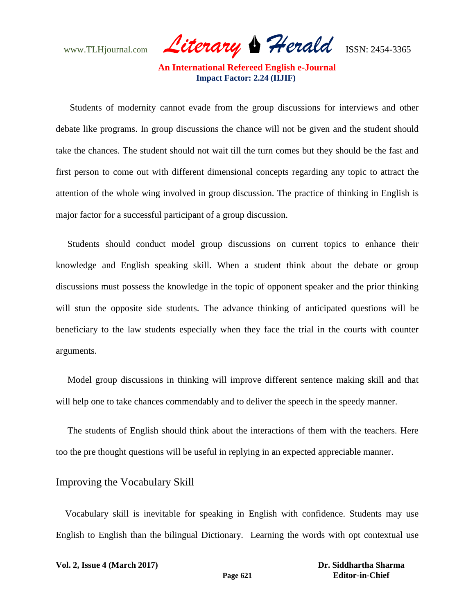www.TLHjournal.com *Literary Herald*ISSN: 2454-3365

 Students of modernity cannot evade from the group discussions for interviews and other debate like programs. In group discussions the chance will not be given and the student should take the chances. The student should not wait till the turn comes but they should be the fast and first person to come out with different dimensional concepts regarding any topic to attract the attention of the whole wing involved in group discussion. The practice of thinking in English is major factor for a successful participant of a group discussion.

 Students should conduct model group discussions on current topics to enhance their knowledge and English speaking skill. When a student think about the debate or group discussions must possess the knowledge in the topic of opponent speaker and the prior thinking will stun the opposite side students. The advance thinking of anticipated questions will be beneficiary to the law students especially when they face the trial in the courts with counter arguments.

 Model group discussions in thinking will improve different sentence making skill and that will help one to take chances commendably and to deliver the speech in the speedy manner.

 The students of English should think about the interactions of them with the teachers. Here too the pre thought questions will be useful in replying in an expected appreciable manner.

## Improving the Vocabulary Skill

 Vocabulary skill is inevitable for speaking in English with confidence. Students may use English to English than the bilingual Dictionary. Learning the words with opt contextual use

| <b>Vol. 2, Issue 4 (March 2017)</b> |          | Dr. Siddhartha Sharma  |
|-------------------------------------|----------|------------------------|
|                                     | Page 621 | <b>Editor-in-Chief</b> |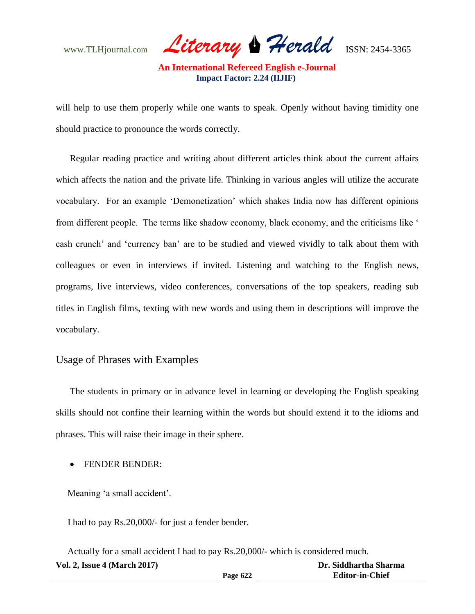www.TLHjournal.com *Literary Herald*ISSN: 2454-3365

will help to use them properly while one wants to speak. Openly without having timidity one should practice to pronounce the words correctly.

 Regular reading practice and writing about different articles think about the current affairs which affects the nation and the private life. Thinking in various angles will utilize the accurate vocabulary. For an example 'Demonetization' which shakes India now has different opinions from different people. The terms like shadow economy, black economy, and the criticisms like ' cash crunch' and 'currency ban' are to be studied and viewed vividly to talk about them with colleagues or even in interviews if invited. Listening and watching to the English news, programs, live interviews, video conferences, conversations of the top speakers, reading sub titles in English films, texting with new words and using them in descriptions will improve the vocabulary.

# Usage of Phrases with Examples

 The students in primary or in advance level in learning or developing the English speaking skills should not confine their learning within the words but should extend it to the idioms and phrases. This will raise their image in their sphere.

#### FENDER BENDER:

Meaning 'a small accident'.

I had to pay Rs.20,000/- for just a fender bender.

**Vol. 2, Issue 4 (March 2017) Page 622 Dr. Siddhartha Sharma Editor-in-Chief** Actually for a small accident I had to pay Rs.20,000/- which is considered much.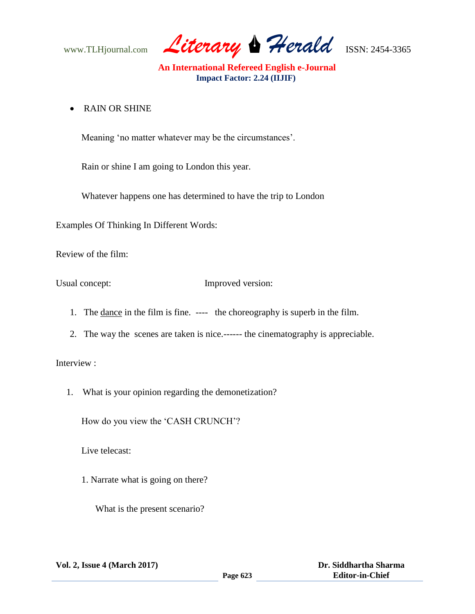www.TLHjournal.com *Literary Herald*ISSN: 2454-3365

RAIN OR SHINE

Meaning 'no matter whatever may be the circumstances'.

Rain or shine I am going to London this year.

Whatever happens one has determined to have the trip to London

Examples Of Thinking In Different Words:

Review of the film:

Usual concept: Improved version:

- 1. The dance in the film is fine. ---- the choreography is superb in the film.
- 2. The way the scenes are taken is nice.------ the cinematography is appreciable.

### Interview :

1. What is your opinion regarding the demonetization?

How do you view the 'CASH CRUNCH'?

Live telecast:

1. Narrate what is going on there?

What is the present scenario?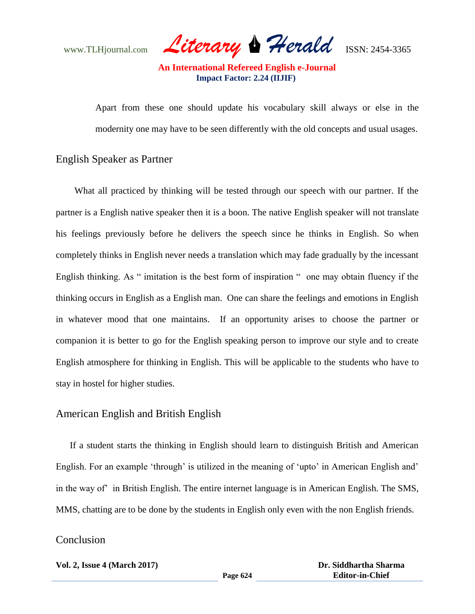www.TLHjournal.com *Literary Herald*ISSN: 2454-3365

Apart from these one should update his vocabulary skill always or else in the modernity one may have to be seen differently with the old concepts and usual usages.

## English Speaker as Partner

 What all practiced by thinking will be tested through our speech with our partner. If the partner is a English native speaker then it is a boon. The native English speaker will not translate his feelings previously before he delivers the speech since he thinks in English. So when completely thinks in English never needs a translation which may fade gradually by the incessant English thinking. As " imitation is the best form of inspiration " one may obtain fluency if the thinking occurs in English as a English man. One can share the feelings and emotions in English in whatever mood that one maintains. If an opportunity arises to choose the partner or companion it is better to go for the English speaking person to improve our style and to create English atmosphere for thinking in English. This will be applicable to the students who have to stay in hostel for higher studies.

### American English and British English

 If a student starts the thinking in English should learn to distinguish British and American English. For an example 'through' is utilized in the meaning of 'upto' in American English and' in the way of' in British English. The entire internet language is in American English. The SMS, MMS, chatting are to be done by the students in English only even with the non English friends.

### Conclusion

**Vol. 2, Issue 4 (March 2017)**